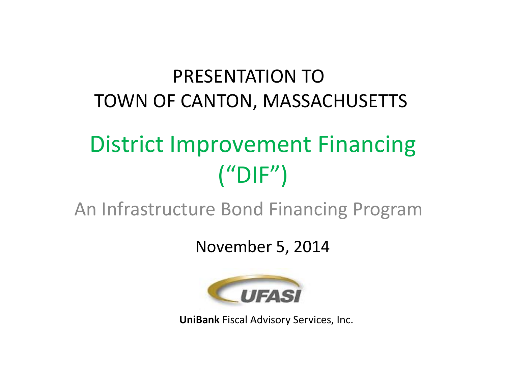### PRESENTATION TOTOWN OF CANTON, MASSACHUSETTS

# District Improvement Financing  $("DIF")$

An Infrastructure Bond Financing Program

November 5, 2014

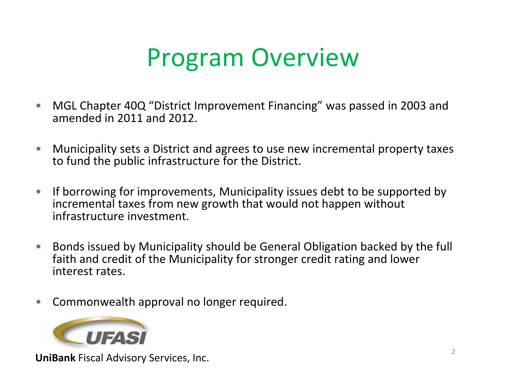## Program Overview

- $\bullet$  MGL Chapter 40Q "District Improvement Financing" was passed in 2003 and amended in 2011 and 2012.
- $\bullet$  Municipality sets <sup>a</sup> District and agrees to use new incremental property taxes to fund the public infrastructure for the District.
- $\bullet$  If borrowing for improvements, Municipality issues debt to be supported by incremental taxes from new growth that would not happen without infrastructure investment.
- $\bullet$  Bonds issued by Municipality should be General Obligation backed by the full faith and credit of the Municipality for stronger credit rating and lower interest rates.
- $\bullet$ Commonwealth approval no longer required.

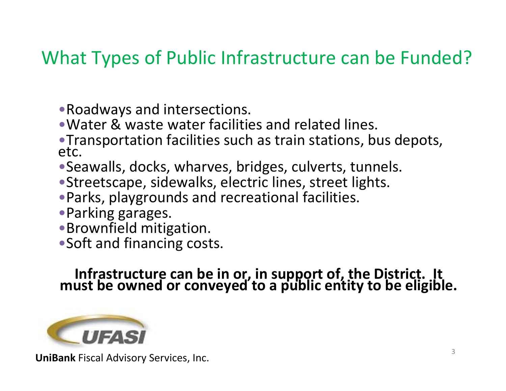#### What Types of Public Infrastructure can be Funded?

- •Roadways and intersections.
- •Water & waste water facilities and related lines.
- Transportation facilities such as train stations, bus depots, etc.
- •Seawalls, docks, wharves, bridges, culverts, tunnels.
- •Streetscape, sidewalks, electric lines, street lights.
- •Parks, playgrounds and recreational facilities.
- •Parking garages.
- •Brownfield mitigation.
- •Soft and financing costs.

Infrastructure can be in or, in support of, the District. It<br>must be owned or conveyed to a public entity to be eligible.

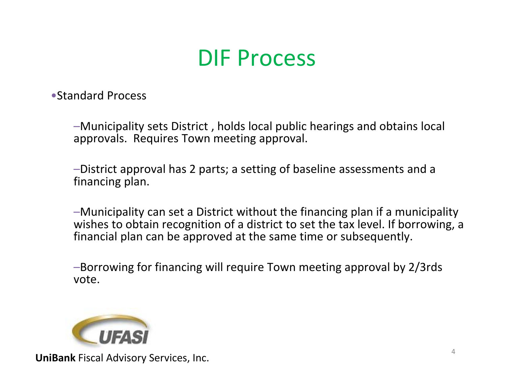### DIF Process

•Standard Process

–Municipality sets District , holds local public hearings and obtains local approvals. Requires Town meeting approval.

–District approval has 2 parts; <sup>a</sup> setting of baseline assessments and <sup>a</sup> financing plan.

–Municipality can set <sup>a</sup> District without the financing plan if <sup>a</sup> municipality wishes to obtain recognition of <sup>a</sup> district to set the tax level. If borrowing, <sup>a</sup> financial plan can be approved at the same time or subsequently.

–Borrowing for financing will require Town meeting approval by 2/3rds vote.

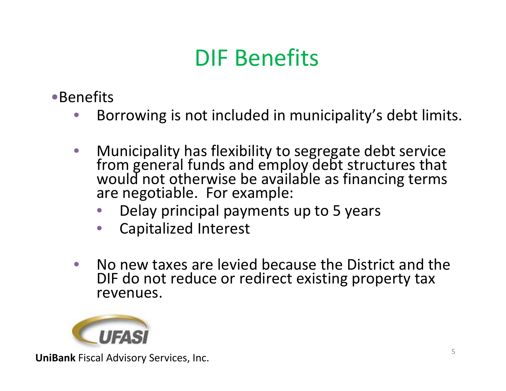## DIF Benefits

- •Benefits
	- $\bullet$ Borrowing is not included in municipality's debt limits.
	- $\bullet$  Municipality has flexibility to segregate debt service fromfrom general funds and employ debt structures that<br>would not otherwise be available as financing terms would not otherwise be available as financing terms are negotiable. For example:
		- •Delay principal payments up to 5 years
		- •Capitalized Interest
	- $\bullet$ • No new taxes are levied because the District and the DIF do not reduce or redirect existing property tax revenues.

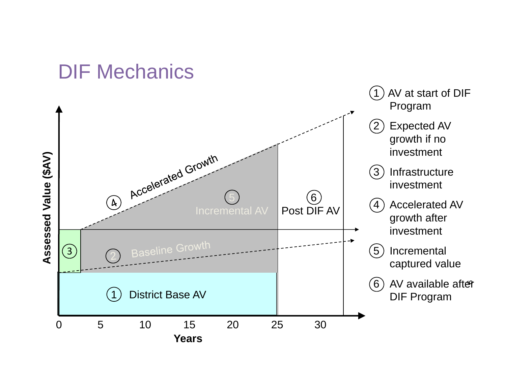#### DIF Mechanics